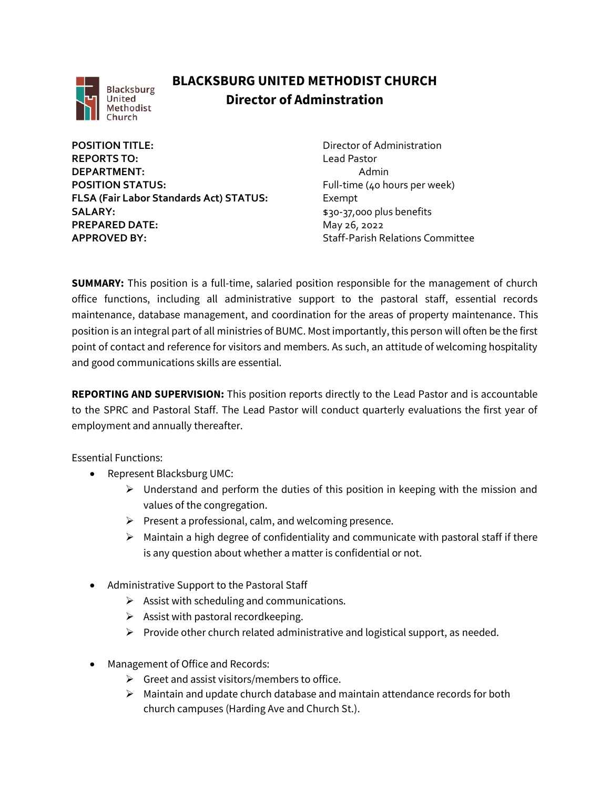

## **BLACKSBURG UNITED METHODIST CHURCH Director of Adminstration**

**POSITION TITLE:**  $\qquad \qquad \qquad$  Director of Administration **REPORTS TO:** Lead Pastor **DEPARTMENT:** Admin **POSITION STATUS:** Full-time (40 hours per week) **FLSA (Fair Labor Standards Act) STATUS:** Exempt **SALARY:**  $$30-37,000$  plus benefits **PREPARED DATE:** May 26, 2022 **APPROVED BY:** Staff-Parish Relations Committee

**SUMMARY:** This position is a full-time, salaried position responsible for the management of church office functions, including all administrative support to the pastoral staff, essential records maintenance, database management, and coordination for the areas of property maintenance. This position is an integral part of all ministries of BUMC. Most importantly, this person will often be the first point of contact and reference for visitors and members. As such, an attitude of welcoming hospitality and good communications skills are essential.

**REPORTING AND SUPERVISION:** This position reports directly to the Lead Pastor and is accountable to the SPRC and Pastoral Staff. The Lead Pastor will conduct quarterly evaluations the first year of employment and annually thereafter.

Essential Functions:

- Represent Blacksburg UMC:
	- $\triangleright$  Understand and perform the duties of this position in keeping with the mission and values of the congregation.
	- $\triangleright$  Present a professional, calm, and welcoming presence.
	- ➢ Maintain a high degree of confidentiality and communicate with pastoral staff if there is any question about whether a matter is confidential or not.
- Administrative Support to the Pastoral Staff
	- $\triangleright$  Assist with scheduling and communications.
	- $\triangleright$  Assist with pastoral recordkeeping.
	- ➢ Provide other church related administrative and logistical support, as needed.
- Management of Office and Records:
	- $\triangleright$  Greet and assist visitors/members to office.
	- $\triangleright$  Maintain and update church database and maintain attendance records for both church campuses (Harding Ave and Church St.).